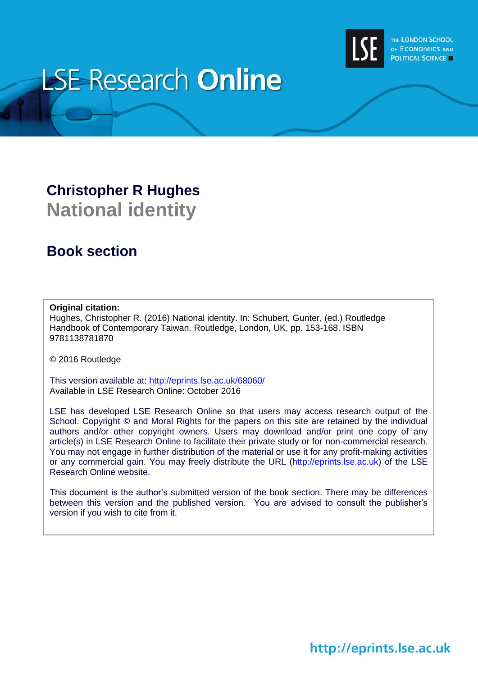

# **LSE Research Online**

# **Christopher R Hughes National identity**

# **Book section**

# **Original citation:**

Hughes, Christopher R. (2016) National identity. In: Schubert, Gunter, (ed.) Routledge Handbook of Contemporary Taiwan. Routledge, London, UK, pp. 153-168. ISBN 9781138781870

© 2016 Routledge

This version available at:<http://eprints.lse.ac.uk/68060/> Available in LSE Research Online: October 2016

LSE has developed LSE Research Online so that users may access research output of the School. Copyright © and Moral Rights for the papers on this site are retained by the individual authors and/or other copyright owners. Users may download and/or print one copy of any article(s) in LSE Research Online to facilitate their private study or for non-commercial research. You may not engage in further distribution of the material or use it for any profit-making activities or any commercial gain. You may freely distribute the URL (http://eprints.lse.ac.uk) of the LSE Research Online website.

This document is the author's submitted version of the book section. There may be differences between this version and the published version. You are advised to consult the publisher's version if you wish to cite from it.

# http://eprints.lse.ac.uk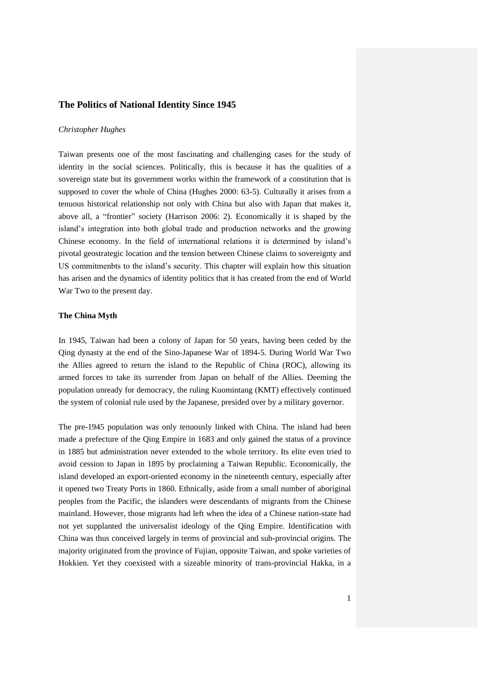## **The Politics of National Identity Since 1945**

#### *Christopher Hughes*

Taiwan presents one of the most fascinating and challenging cases for the study of identity in the social sciences. Politically, this is because it has the qualities of a sovereign state but its government works within the framework of a constitution that is supposed to cover the whole of China (Hughes 2000: 63-5). Culturally it arises from a tenuous historical relationship not only with China but also with Japan that makes it, above all, a "frontier" society (Harrison 2006: 2). Economically it is shaped by the island's integration into both global trade and production networks and the growing Chinese economy. In the field of international relations it is determined by island's pivotal geostrategic location and the tension between Chinese claims to sovereignty and US commitmenbts to the island's security. This chapter will explain how this situation has arisen and the dynamics of identity politics that it has created from the end of World War Two to the present day.

### **The China Myth**

In 1945, Taiwan had been a colony of Japan for 50 years, having been ceded by the Qing dynasty at the end of the Sino-Japanese War of 1894-5. During World War Two the Allies agreed to return the island to the Republic of China (ROC), allowing its armed forces to take its surrender from Japan on behalf of the Allies. Deeming the population unready for democracy, the ruling Kuomintang (KMT) effectively continued the system of colonial rule used by the Japanese, presided over by a military governor.

The pre-1945 population was only tenuously linked with China. The island had been made a prefecture of the Qing Empire in 1683 and only gained the status of a province in 1885 but administration never extended to the whole territory. Its elite even tried to avoid cession to Japan in 1895 by proclaiming a Taiwan Republic. Economically, the island developed an export-oriented economy in the nineteenth century, especially after it opened two Treaty Ports in 1860. Ethnically, aside from a small number of aboriginal peoples from the Pacific, the islanders were descendants of migrants from the Chinese mainland. However, those migrants had left when the idea of a Chinese nation-state had not yet supplanted the universalist ideology of the Qing Empire. Identification with China was thus conceived largely in terms of provincial and sub-provincial origins. The majority originated from the province of Fujian, opposite Taiwan, and spoke varieties of Hokkien. Yet they coexisted with a sizeable minority of trans-provincial Hakka, in a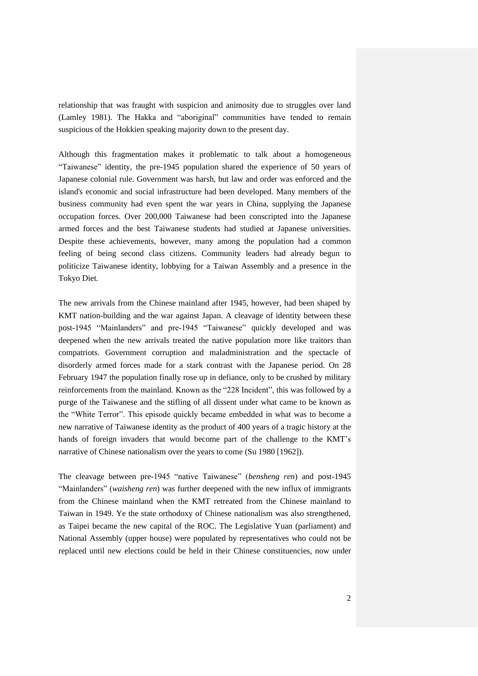relationship that was fraught with suspicion and animosity due to struggles over land (Lamley 1981). The Hakka and "aboriginal" communities have tended to remain suspicious of the Hokkien speaking majority down to the present day.

Although this fragmentation makes it problematic to talk about a homogeneous "Taiwanese" identity, the pre-1945 population shared the experience of 50 years of Japanese colonial rule. Government was harsh, but law and order was enforced and the island's economic and social infrastructure had been developed. Many members of the business community had even spent the war years in China, supplying the Japanese occupation forces. Over 200,000 Taiwanese had been conscripted into the Japanese armed forces and the best Taiwanese students had studied at Japanese universities. Despite these achievements, however, many among the population had a common feeling of being second class citizens. Community leaders had already begun to politicize Taiwanese identity, lobbying for a Taiwan Assembly and a presence in the Tokyo Diet.

The new arrivals from the Chinese mainland after 1945, however, had been shaped by KMT nation-building and the war against Japan. A cleavage of identity between these post-1945 "Mainlanders" and pre-1945 "Taiwanese" quickly developed and was deepened when the new arrivals treated the native population more like traitors than compatriots. Government corruption and maladministration and the spectacle of disorderly armed forces made for a stark contrast with the Japanese period. On 28 February 1947 the population finally rose up in defiance, only to be crushed by military reinforcements from the mainland. Known as the "228 Incident", this was followed by a purge of the Taiwanese and the stifling of all dissent under what came to be known as the "White Terror". This episode quickly became embedded in what was to become a new narrative of Taiwanese identity as the product of 400 years of a tragic history at the hands of foreign invaders that would become part of the challenge to the KMT's narrative of Chinese nationalism over the years to come (Su 1980 [1962]).

The cleavage between pre-1945 "native Taiwanese" (*bensheng ren*) and post-1945 "Mainlanders" (*waisheng ren*) was further deepened with the new influx of immigrants from the Chinese mainland when the KMT retreated from the Chinese mainland to Taiwan in 1949. Ye the state orthodoxy of Chinese nationalism was also strengthened, as Taipei became the new capital of the ROC. The Legislative Yuan (parliament) and National Assembly (upper house) were populated by representatives who could not be replaced until new elections could be held in their Chinese constituencies, now under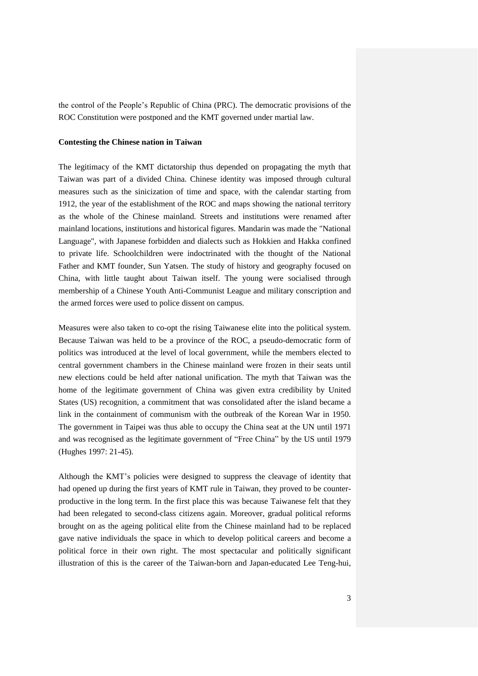the control of the People's Republic of China (PRC). The democratic provisions of the ROC Constitution were postponed and the KMT governed under martial law.

#### **Contesting the Chinese nation in Taiwan**

The legitimacy of the KMT dictatorship thus depended on propagating the myth that Taiwan was part of a divided China. Chinese identity was imposed through cultural measures such as the sinicization of time and space, with the calendar starting from 1912, the year of the establishment of the ROC and maps showing the national territory as the whole of the Chinese mainland. Streets and institutions were renamed after mainland locations, institutions and historical figures. Mandarin was made the "National Language", with Japanese forbidden and dialects such as Hokkien and Hakka confined to private life. Schoolchildren were indoctrinated with the thought of the National Father and KMT founder, Sun Yatsen. The study of history and geography focused on China, with little taught about Taiwan itself. The young were socialised through membership of a Chinese Youth Anti-Communist League and military conscription and the armed forces were used to police dissent on campus.

Measures were also taken to co-opt the rising Taiwanese elite into the political system. Because Taiwan was held to be a province of the ROC, a pseudo-democratic form of politics was introduced at the level of local government, while the members elected to central government chambers in the Chinese mainland were frozen in their seats until new elections could be held after national unification. The myth that Taiwan was the home of the legitimate government of China was given extra credibility by United States (US) recognition, a commitment that was consolidated after the island became a link in the containment of communism with the outbreak of the Korean War in 1950. The government in Taipei was thus able to occupy the China seat at the UN until 1971 and was recognised as the legitimate government of "Free China" by the US until 1979 (Hughes 1997: 21-45).

Although the KMT's policies were designed to suppress the cleavage of identity that had opened up during the first years of KMT rule in Taiwan, they proved to be counterproductive in the long term. In the first place this was because Taiwanese felt that they had been relegated to second-class citizens again. Moreover, gradual political reforms brought on as the ageing political elite from the Chinese mainland had to be replaced gave native individuals the space in which to develop political careers and become a political force in their own right. The most spectacular and politically significant illustration of this is the career of the Taiwan-born and Japan-educated Lee Teng-hui,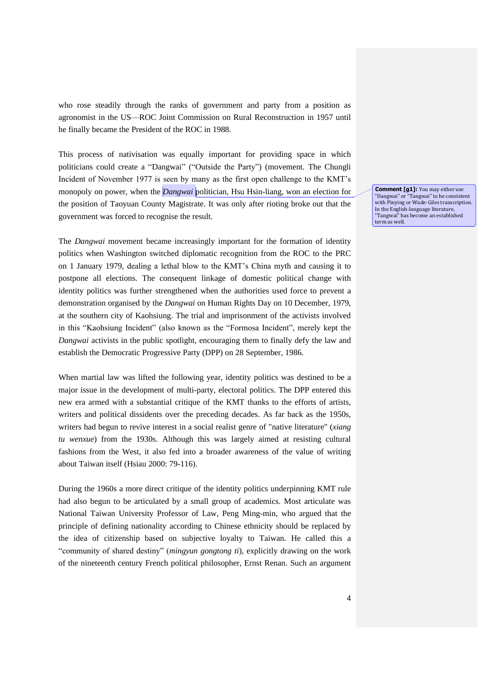who rose steadily through the ranks of government and party from a position as agronomist in the US—ROC Joint Commission on Rural Reconstruction in 1957 until he finally became the President of the ROC in 1988.

This process of nativisation was equally important for providing space in which politicians could create a "Dangwai" ("Outside the Party") (movement. The Chungli Incident of November 1977 is seen by many as the first open challenge to the KMT's monopoly on power, when the *Dangwai* politician, Hsu Hsin-liang, won an election for the position of Taoyuan County Magistrate. It was only after rioting broke out that the government was forced to recognise the result.

The *Dangwai* movement became increasingly important for the formation of identity politics when Washington switched diplomatic recognition from the ROC to the PRC on 1 January 1979, dealing a lethal blow to the KMT's China myth and causing it to postpone all elections. The consequent linkage of domestic political change with identity politics was further strengthened when the authorities used force to prevent a demonstration organised by the *Dangwai* on Human Rights Day on 10 December, 1979, at the southern city of Kaohsiung. The trial and imprisonment of the activists involved in this "Kaohsiung Incident" (also known as the "Formosa Incident", merely kept the *Dangwai* activists in the public spotlight, encouraging them to finally defy the law and establish the Democratic Progressive Party (DPP) on 28 September, 1986.

When martial law was lifted the following year, identity politics was destined to be a major issue in the development of multi-party, electoral politics. The DPP entered this new era armed with a substantial critique of the KMT thanks to the efforts of artists, writers and political dissidents over the preceding decades. As far back as the 1950s, writers had begun to revive interest in a social realist genre of "native literature" (*xiang tu wenxue*) from the 1930s. Although this was largely aimed at resisting cultural fashions from the West, it also fed into a broader awareness of the value of writing about Taiwan itself (Hsiau 2000: 79-116).

During the 1960s a more direct critique of the identity politics underpinning KMT rule had also begun to be articulated by a small group of academics. Most articulate was National Taiwan University Professor of Law, Peng Ming-min, who argued that the principle of defining nationality according to Chinese ethnicity should be replaced by the idea of citizenship based on subjective loyalty to Taiwan. He called this a "community of shared destiny" (*mingyun gongtong ti*), explicitly drawing on the work of the nineteenth century French political philosopher, Ernst Renan. Such an argument **Comment [g1]:** You may either use "Dangwai" or "Tangwai" to be consistent with Pinying or Wade-Giles transcription. In the English-language literature, "Tangwai" has become an established term as well.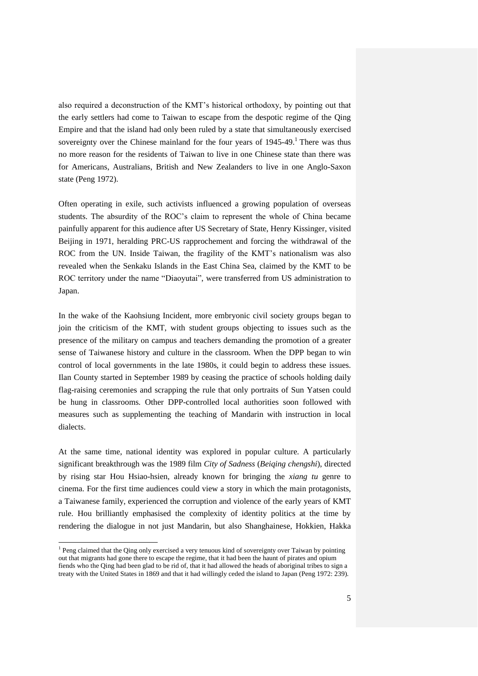also required a deconstruction of the KMT's historical orthodoxy, by pointing out that the early settlers had come to Taiwan to escape from the despotic regime of the Qing Empire and that the island had only been ruled by a state that simultaneously exercised sovereignty over the Chinese mainland for the four years of  $1945-49$ .<sup>1</sup> There was thus no more reason for the residents of Taiwan to live in one Chinese state than there was for Americans, Australians, British and New Zealanders to live in one Anglo-Saxon state (Peng 1972).

Often operating in exile, such activists influenced a growing population of overseas students. The absurdity of the ROC's claim to represent the whole of China became painfully apparent for this audience after US Secretary of State, Henry Kissinger, visited Beijing in 1971, heralding PRC-US rapprochement and forcing the withdrawal of the ROC from the UN. Inside Taiwan, the fragility of the KMT's nationalism was also revealed when the Senkaku Islands in the East China Sea, claimed by the KMT to be ROC territory under the name "Diaoyutai", were transferred from US administration to Japan.

In the wake of the Kaohsiung Incident, more embryonic civil society groups began to join the criticism of the KMT, with student groups objecting to issues such as the presence of the military on campus and teachers demanding the promotion of a greater sense of Taiwanese history and culture in the classroom. When the DPP began to win control of local governments in the late 1980s, it could begin to address these issues. Ilan County started in September 1989 by ceasing the practice of schools holding daily flag-raising ceremonies and scrapping the rule that only portraits of Sun Yatsen could be hung in classrooms. Other DPP-controlled local authorities soon followed with measures such as supplementing the teaching of Mandarin with instruction in local dialects.

At the same time, national identity was explored in popular culture. A particularly significant breakthrough was the 1989 film *City of Sadness* (*Beiqing chengshi*), directed by rising star Hou Hsiao-hsien, already known for bringing the *xiang tu* genre to cinema. For the first time audiences could view a story in which the main protagonists, a Taiwanese family, experienced the corruption and violence of the early years of KMT rule. Hou brilliantly emphasised the complexity of identity politics at the time by rendering the dialogue in not just Mandarin, but also Shanghainese, Hokkien, Hakka

l

 $<sup>1</sup>$  Peng claimed that the Qing only exercised a very tenuous kind of sovereignty over Taiwan by pointing</sup> out that migrants had gone there to escape the regime, that it had been the haunt of pirates and opium fiends who the Qing had been glad to be rid of, that it had allowed the heads of aboriginal tribes to sign a treaty with the United States in 1869 and that it had willingly ceded the island to Japan (Peng 1972: 239).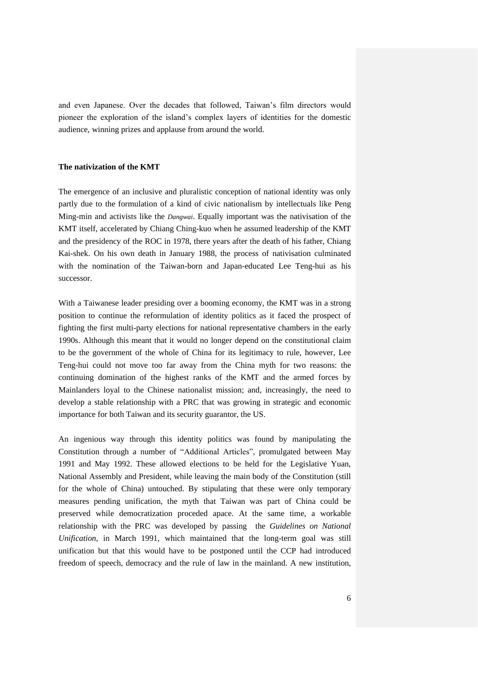and even Japanese. Over the decades that followed, Taiwan's film directors would pioneer the exploration of the island's complex layers of identities for the domestic audience, winning prizes and applause from around the world.

### **The nativization of the KMT**

The emergence of an inclusive and pluralistic conception of national identity was only partly due to the formulation of a kind of civic nationalism by intellectuals like Peng Ming-min and activists like the *Dangwai*. Equally important was the nativisation of the KMT itself, accelerated by Chiang Ching-kuo when he assumed leadership of the KMT and the presidency of the ROC in 1978, there years after the death of his father, Chiang Kai-shek. On his own death in January 1988, the process of nativisation culminated with the nomination of the Taiwan-born and Japan-educated Lee Teng-hui as his successor.

With a Taiwanese leader presiding over a booming economy, the KMT was in a strong position to continue the reformulation of identity politics as it faced the prospect of fighting the first multi-party elections for national representative chambers in the early 1990s. Although this meant that it would no longer depend on the constitutional claim to be the government of the whole of China for its legitimacy to rule, however, Lee Teng-hui could not move too far away from the China myth for two reasons: the continuing domination of the highest ranks of the KMT and the armed forces by Mainlanders loyal to the Chinese nationalist mission; and, increasingly, the need to develop a stable relationship with a PRC that was growing in strategic and economic importance for both Taiwan and its security guarantor, the US.

An ingenious way through this identity politics was found by manipulating the Constitution through a number of "Additional Articles", promulgated between May 1991 and May 1992. These allowed elections to be held for the Legislative Yuan, National Assembly and President, while leaving the main body of the Constitution (still for the whole of China) untouched. By stipulating that these were only temporary measures pending unification, the myth that Taiwan was part of China could be preserved while democratization proceded apace. At the same time, a workable relationship with the PRC was developed by passing the *Guidelines on National Unification*, in March 1991, which maintained that the long-term goal was still unification but that this would have to be postponed until the CCP had introduced freedom of speech, democracy and the rule of law in the mainland. A new institution,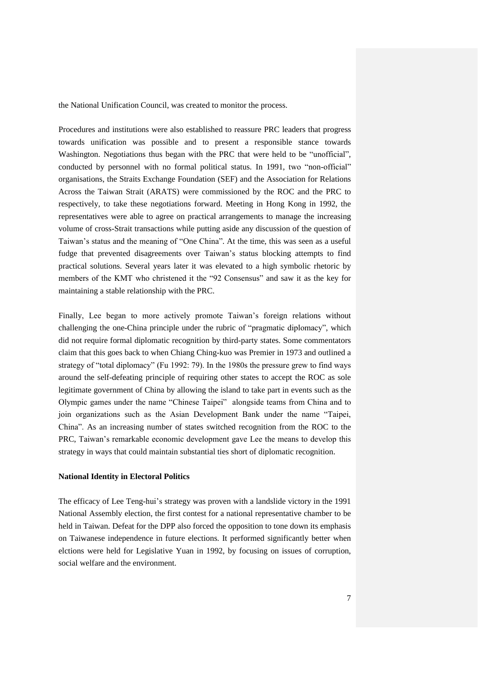the National Unification Council, was created to monitor the process.

Procedures and institutions were also established to reassure PRC leaders that progress towards unification was possible and to present a responsible stance towards Washington. Negotiations thus began with the PRC that were held to be "unofficial", conducted by personnel with no formal political status. In 1991, two "non-official" organisations, the Straits Exchange Foundation (SEF) and the Association for Relations Across the Taiwan Strait (ARATS) were commissioned by the ROC and the PRC to respectively, to take these negotiations forward. Meeting in Hong Kong in 1992, the representatives were able to agree on practical arrangements to manage the increasing volume of cross-Strait transactions while putting aside any discussion of the question of Taiwan's status and the meaning of "One China". At the time, this was seen as a useful fudge that prevented disagreements over Taiwan's status blocking attempts to find practical solutions. Several years later it was elevated to a high symbolic rhetoric by members of the KMT who christened it the "92 Consensus" and saw it as the key for maintaining a stable relationship with the PRC.

Finally, Lee began to more actively promote Taiwan's foreign relations without challenging the one-China principle under the rubric of "pragmatic diplomacy", which did not require formal diplomatic recognition by third-party states. Some commentators claim that this goes back to when Chiang Ching-kuo was Premier in 1973 and outlined a strategy of "total diplomacy" (Fu 1992: 79). In the 1980s the pressure grew to find ways around the self-defeating principle of requiring other states to accept the ROC as sole legitimate government of China by allowing the island to take part in events such as the Olympic games under the name "Chinese Taipei" alongside teams from China and to join organizations such as the Asian Development Bank under the name "Taipei, China". As an increasing number of states switched recognition from the ROC to the PRC, Taiwan's remarkable economic development gave Lee the means to develop this strategy in ways that could maintain substantial ties short of diplomatic recognition.

#### **National Identity in Electoral Politics**

The efficacy of Lee Teng-hui's strategy was proven with a landslide victory in the 1991 National Assembly election, the first contest for a national representative chamber to be held in Taiwan. Defeat for the DPP also forced the opposition to tone down its emphasis on Taiwanese independence in future elections. It performed significantly better when elctions were held for Legislative Yuan in 1992, by focusing on issues of corruption, social welfare and the environment.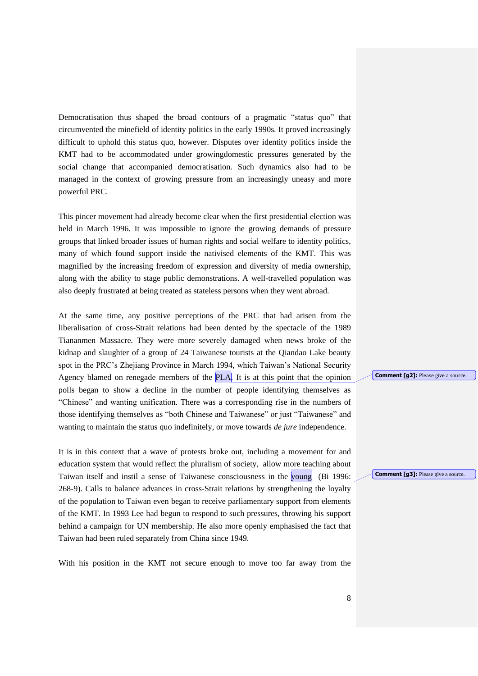Democratisation thus shaped the broad contours of a pragmatic "status quo" that circumvented the minefield of identity politics in the early 1990s. It proved increasingly difficult to uphold this status quo, however. Disputes over identity politics inside the KMT had to be accommodated under growingdomestic pressures generated by the social change that accompanied democratisation. Such dynamics also had to be managed in the context of growing pressure from an increasingly uneasy and more powerful PRC.

This pincer movement had already become clear when the first presidential election was held in March 1996. It was impossible to ignore the growing demands of pressure groups that linked broader issues of human rights and social welfare to identity politics, many of which found support inside the nativised elements of the KMT. This was magnified by the increasing freedom of expression and diversity of media ownership, along with the ability to stage public demonstrations. A well-travelled population was also deeply frustrated at being treated as stateless persons when they went abroad.

At the same time, any positive perceptions of the PRC that had arisen from the liberalisation of cross-Strait relations had been dented by the spectacle of the 1989 Tiananmen Massacre. They were more severely damaged when news broke of the kidnap and slaughter of a group of 24 Taiwanese tourists at the Qiandao Lake beauty spot in the PRC's Zhejiang Province in March 1994, which Taiwan's National Security Agency blamed on renegade members of the PLA. It is at this point that the opinion polls began to show a decline in the number of people identifying themselves as "Chinese" and wanting unification. There was a corresponding rise in the numbers of those identifying themselves as "both Chinese and Taiwanese" or just "Taiwanese" and wanting to maintain the status quo indefinitely, or move towards *de jure* independence.

It is in this context that a wave of protests broke out, including a movement for and education system that would reflect the pluralism of society, allow more teaching about Taiwan itself and instil a sense of Taiwanese consciousness in the young (Bi 1996: 268-9). Calls to balance advances in cross-Strait relations by strengthening the loyalty of the population to Taiwan even began to receive parliamentary support from elements of the KMT. In 1993 Lee had begun to respond to such pressures, throwing his support behind a campaign for UN membership. He also more openly emphasised the fact that Taiwan had been ruled separately from China since 1949.

With his position in the KMT not secure enough to move too far away from the

**Comment [g2]:** Please give a source.

**Comment [g3]:** Please give a source.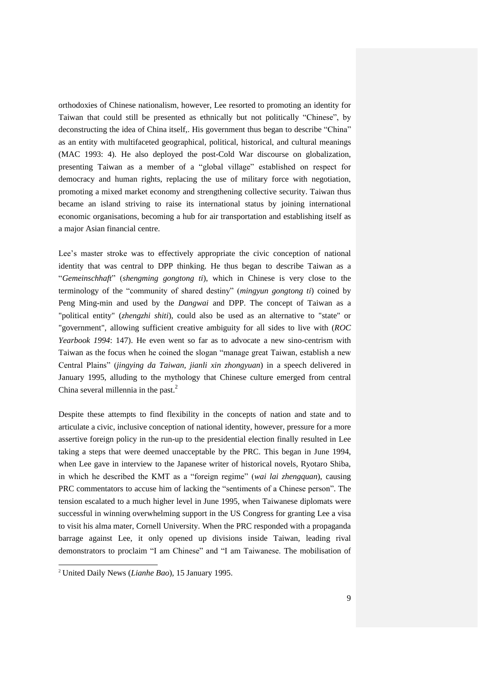orthodoxies of Chinese nationalism, however, Lee resorted to promoting an identity for Taiwan that could still be presented as ethnically but not politically "Chinese", by deconstructing the idea of China itself,. His government thus began to describe "China" as an entity with multifaceted geographical, political, historical, and cultural meanings (MAC 1993: 4). He also deployed the post-Cold War discourse on globalization, presenting Taiwan as a member of a "global village" established on respect for democracy and human rights, replacing the use of military force with negotiation, promoting a mixed market economy and strengthening collective security. Taiwan thus became an island striving to raise its international status by joining international economic organisations, becoming a hub for air transportation and establishing itself as a major Asian financial centre.

Lee's master stroke was to effectively appropriate the civic conception of national identity that was central to DPP thinking. He thus began to describe Taiwan as a "*Gemeinschhaft*" (*shengming gongtong ti*), which in Chinese is very close to the terminology of the "community of shared destiny" (*mingyun gongtong ti*) coined by Peng Ming-min and used by the *Dangwai* and DPP. The concept of Taiwan as a "political entity" (*zhengzhi shiti*), could also be used as an alternative to "state" or "government", allowing sufficient creative ambiguity for all sides to live with (*ROC Yearbook 1994*: 147). He even went so far as to advocate a new sino-centrism with Taiwan as the focus when he coined the slogan "manage great Taiwan, establish a new Central Plains" (*jingying da Taiwan, jianli xin zhongyuan*) in a speech delivered in January 1995, alluding to the mythology that Chinese culture emerged from central China several millennia in the past.<sup>2</sup>

Despite these attempts to find flexibility in the concepts of nation and state and to articulate a civic, inclusive conception of national identity, however, pressure for a more assertive foreign policy in the run-up to the presidential election finally resulted in Lee taking a steps that were deemed unacceptable by the PRC. This began in June 1994, when Lee gave in interview to the Japanese writer of historical novels, Ryotaro Shiba, in which he described the KMT as a "foreign regime" (*wai lai zhengquan*), causing PRC commentators to accuse him of lacking the "sentiments of a Chinese person". The tension escalated to a much higher level in June 1995, when Taiwanese diplomats were successful in winning overwhelming support in the US Congress for granting Lee a visa to visit his alma mater, Cornell University. When the PRC responded with a propaganda barrage against Lee, it only opened up divisions inside Taiwan, leading rival demonstrators to proclaim "I am Chinese" and "I am Taiwanese. The mobilisation of

 $\overline{a}$ 

<sup>2</sup> United Daily News (*Lianhe Bao*), 15 January 1995.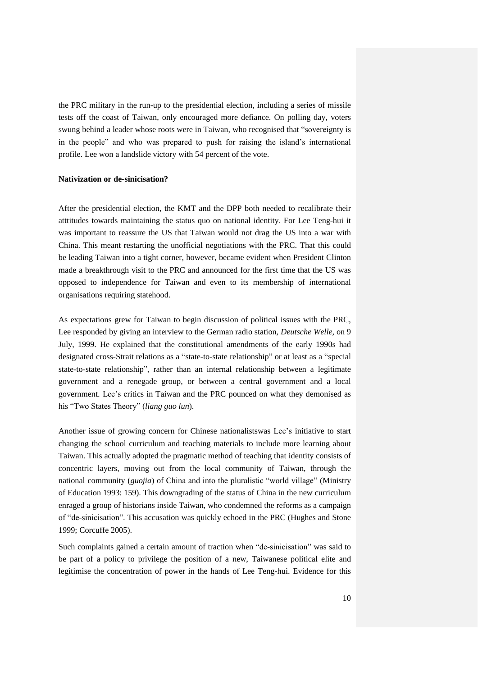the PRC military in the run-up to the presidential election, including a series of missile tests off the coast of Taiwan, only encouraged more defiance. On polling day, voters swung behind a leader whose roots were in Taiwan, who recognised that "sovereignty is in the people" and who was prepared to push for raising the island's international profile. Lee won a landslide victory with 54 percent of the vote.

#### **Nativization or de-sinicisation?**

After the presidential election, the KMT and the DPP both needed to recalibrate their atttitudes towards maintaining the status quo on national identity. For Lee Teng-hui it was important to reassure the US that Taiwan would not drag the US into a war with China. This meant restarting the unofficial negotiations with the PRC. That this could be leading Taiwan into a tight corner, however, became evident when President Clinton made a breakthrough visit to the PRC and announced for the first time that the US was opposed to independence for Taiwan and even to its membership of international organisations requiring statehood.

As expectations grew for Taiwan to begin discussion of political issues with the PRC, Lee responded by giving an interview to the German radio station, *Deutsche Welle*, on 9 July, 1999. He explained that the constitutional amendments of the early 1990s had designated cross-Strait relations as a "state-to-state relationship" or at least as a "special state-to-state relationship", rather than an internal relationship between a legitimate government and a renegade group, or between a central government and a local government. Lee's critics in Taiwan and the PRC pounced on what they demonised as his "Two States Theory" (*liang guo lun*).

Another issue of growing concern for Chinese nationalistswas Lee's initiative to start changing the school curriculum and teaching materials to include more learning about Taiwan. This actually adopted the pragmatic method of teaching that identity consists of concentric layers, moving out from the local community of Taiwan, through the national community (*guojia*) of China and into the pluralistic "world village" (Ministry of Education 1993: 159). This downgrading of the status of China in the new curriculum enraged a group of historians inside Taiwan, who condemned the reforms as a campaign of "de-sinicisation". This accusation was quickly echoed in the PRC (Hughes and Stone 1999; Corcuffe 2005).

Such complaints gained a certain amount of traction when "de-sinicisation" was said to be part of a policy to privilege the position of a new, Taiwanese political elite and legitimise the concentration of power in the hands of Lee Teng-hui. Evidence for this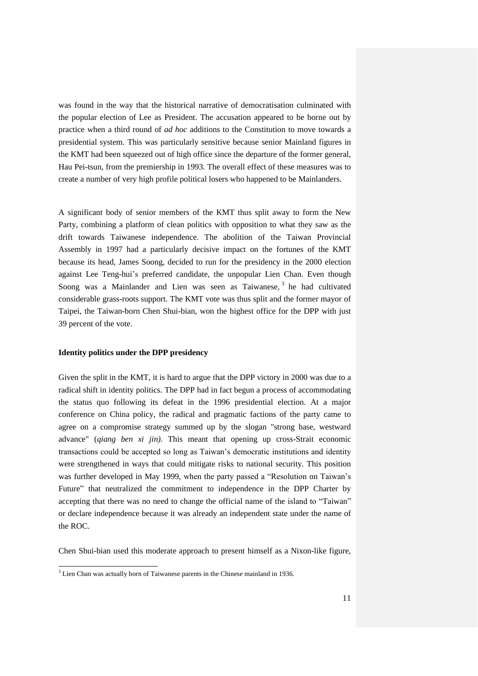was found in the way that the historical narrative of democratisation culminated with the popular election of Lee as President. The accusation appeared to be borne out by practice when a third round of *ad hoc* additions to the Constitution to move towards a presidential system. This was particularly sensitive because senior Mainland figures in the KMT had been squeezed out of high office since the departure of the former general, Hau Pei-tsun, from the premiership in 1993. The overall effect of these measures was to create a number of very high profile political losers who happened to be Mainlanders.

A significant body of senior members of the KMT thus split away to form the New Party, combining a platform of clean politics with opposition to what they saw as the drift towards Taiwanese independence. The abolition of the Taiwan Provincial Assembly in 1997 had a particularly decisive impact on the fortunes of the KMT because its head, James Soong, decided to run for the presidency in the 2000 election against Lee Teng-hui's preferred candidate, the unpopular Lien Chan. Even though Soong was a Mainlander and Lien was seen as Taiwanese, <sup>3</sup> he had cultivated considerable grass-roots support. The KMT vote was thus split and the former mayor of Taipei, the Taiwan-born Chen Shui-bian, won the highest office for the DPP with just 39 percent of the vote.

### **Identity politics under the DPP presidency**

l

Given the split in the KMT, it is hard to argue that the DPP victory in 2000 was due to a radical shift in identity politics. The DPP had in fact begun a process of accommodating the status quo following its defeat in the 1996 presidential election. At a major conference on China policy, the radical and pragmatic factions of the party came to agree on a compromise strategy summed up by the slogan "strong base, westward advance" (*qiang ben xi jin).* This meant that opening up cross-Strait economic transactions could be accepted so long as Taiwan's democratic institutions and identity were strengthened in ways that could mitigate risks to national security. This position was further developed in May 1999, when the party passed a "Resolution on Taiwan's Future" that neutralized the commitment to independence in the DPP Charter by accepting that there was no need to change the official name of the island to "Taiwan" or declare independence because it was already an independent state under the name of the ROC.

Chen Shui-bian used this moderate approach to present himself as a Nixon-like figure,

 $3$  Lien Chan was actually born of Taiwanese parents in the Chinese mainland in 1936.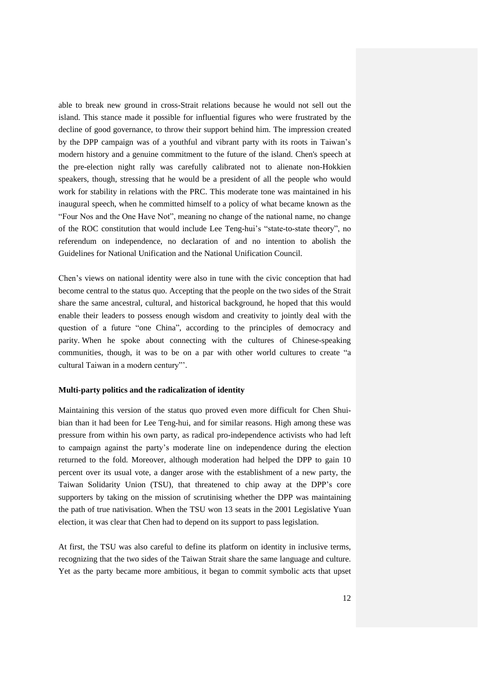able to break new ground in cross-Strait relations because he would not sell out the island. This stance made it possible for influential figures who were frustrated by the decline of good governance, to throw their support behind him. The impression created by the DPP campaign was of a youthful and vibrant party with its roots in Taiwan's modern history and a genuine commitment to the future of the island. Chen's speech at the pre-election night rally was carefully calibrated not to alienate non-Hokkien speakers, though, stressing that he would be a president of all the people who would work for stability in relations with the PRC. This moderate tone was maintained in his inaugural speech, when he committed himself to a policy of what became known as the "Four Nos and the One Have Not", meaning no change of the national name, no change of the ROC constitution that would include Lee Teng-hui's "state-to-state theory", no referendum on independence, no declaration of and no intention to abolish the Guidelines for National Unification and the National Unification Council.

Chen's views on national identity were also in tune with the civic conception that had become central to the status quo. Accepting that the people on the two sides of the Strait share the same ancestral, cultural, and historical background, he hoped that this would enable their leaders to possess enough wisdom and creativity to jointly deal with the question of a future "one China", according to the principles of democracy and parity. When he spoke about connecting with the cultures of Chinese-speaking communities, though, it was to be on a par with other world cultures to create "a cultural Taiwan in a modern century"'.

#### **Multi-party politics and the radicalization of identity**

Maintaining this version of the status quo proved even more difficult for Chen Shuibian than it had been for Lee Teng-hui, and for similar reasons. High among these was pressure from within his own party, as radical pro-independence activists who had left to campaign against the party's moderate line on independence during the election returned to the fold. Moreover, although moderation had helped the DPP to gain 10 percent over its usual vote, a danger arose with the establishment of a new party, the Taiwan Solidarity Union (TSU), that threatened to chip away at the DPP's core supporters by taking on the mission of scrutinising whether the DPP was maintaining the path of true nativisation. When the TSU won 13 seats in the 2001 Legislative Yuan election, it was clear that Chen had to depend on its support to pass legislation.

At first, the TSU was also careful to define its platform on identity in inclusive terms, recognizing that the two sides of the Taiwan Strait share the same language and culture. Yet as the party became more ambitious, it began to commit symbolic acts that upset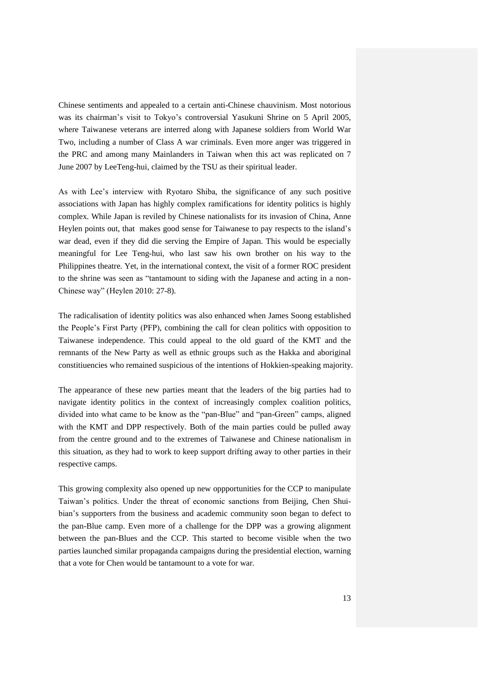Chinese sentiments and appealed to a certain anti-Chinese chauvinism. Most notorious was its chairman's visit to Tokyo's controversial Yasukuni Shrine on 5 April 2005, where Taiwanese veterans are interred along with Japanese soldiers from World War Two, including a number of Class A war criminals. Even more anger was triggered in the PRC and among many Mainlanders in Taiwan when this act was replicated on 7 June 2007 by LeeTeng-hui, claimed by the TSU as their spiritual leader.

As with Lee's interview with Ryotaro Shiba, the significance of any such positive associations with Japan has highly complex ramifications for identity politics is highly complex. While Japan is reviled by Chinese nationalists for its invasion of China, Anne Heylen points out, that makes good sense for Taiwanese to pay respects to the island's war dead, even if they did die serving the Empire of Japan. This would be especially meaningful for Lee Teng-hui, who last saw his own brother on his way to the Philippines theatre. Yet, in the international context, the visit of a former ROC president to the shrine was seen as "tantamount to siding with the Japanese and acting in a non-Chinese way" (Heylen 2010: 27-8).

The radicalisation of identity politics was also enhanced when James Soong established the People's First Party (PFP), combining the call for clean politics with opposition to Taiwanese independence. This could appeal to the old guard of the KMT and the remnants of the New Party as well as ethnic groups such as the Hakka and aboriginal constitiuencies who remained suspicious of the intentions of Hokkien-speaking majority.

The appearance of these new parties meant that the leaders of the big parties had to navigate identity politics in the context of increasingly complex coalition politics, divided into what came to be know as the "pan-Blue" and "pan-Green" camps, aligned with the KMT and DPP respectively. Both of the main parties could be pulled away from the centre ground and to the extremes of Taiwanese and Chinese nationalism in this situation, as they had to work to keep support drifting away to other parties in their respective camps.

This growing complexity also opened up new oppportunities for the CCP to manipulate Taiwan's politics. Under the threat of economic sanctions from Beijing, Chen Shuibian's supporters from the business and academic community soon began to defect to the pan-Blue camp. Even more of a challenge for the DPP was a growing alignment between the pan-Blues and the CCP. This started to become visible when the two parties launched similar propaganda campaigns during the presidential election, warning that a vote for Chen would be tantamount to a vote for war.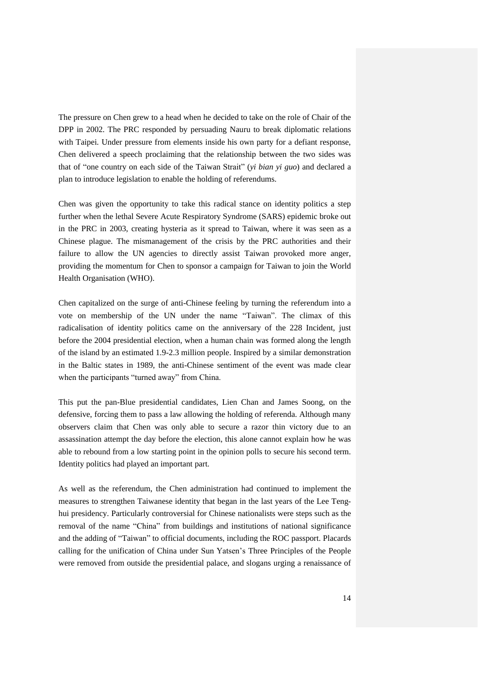The pressure on Chen grew to a head when he decided to take on the role of Chair of the DPP in 2002. The PRC responded by persuading Nauru to break diplomatic relations with Taipei. Under pressure from elements inside his own party for a defiant response, Chen delivered a speech proclaiming that the relationship between the two sides was that of "one country on each side of the Taiwan Strait" (*yi bian yi guo*) and declared a plan to introduce legislation to enable the holding of referendums.

Chen was given the opportunity to take this radical stance on identity politics a step further when the lethal Severe Acute Respiratory Syndrome (SARS) epidemic broke out in the PRC in 2003, creating hysteria as it spread to Taiwan, where it was seen as a Chinese plague. The mismanagement of the crisis by the PRC authorities and their failure to allow the UN agencies to directly assist Taiwan provoked more anger, providing the momentum for Chen to sponsor a campaign for Taiwan to join the World Health Organisation (WHO).

Chen capitalized on the surge of anti-Chinese feeling by turning the referendum into a vote on membership of the UN under the name "Taiwan". The climax of this radicalisation of identity politics came on the anniversary of the 228 Incident, just before the 2004 presidential election, when a human chain was formed along the length of the island by an estimated 1.9-2.3 million people. Inspired by a similar demonstration in the Baltic states in 1989, the anti-Chinese sentiment of the event was made clear when the participants "turned away" from China.

This put the pan-Blue presidential candidates, Lien Chan and James Soong, on the defensive, forcing them to pass a law allowing the holding of referenda. Although many observers claim that Chen was only able to secure a razor thin victory due to an assassination attempt the day before the election, this alone cannot explain how he was able to rebound from a low starting point in the opinion polls to secure his second term. Identity politics had played an important part.

As well as the referendum, the Chen administration had continued to implement the measures to strengthen Taiwanese identity that began in the last years of the Lee Tenghui presidency. Particularly controversial for Chinese nationalists were steps such as the removal of the name "China" from buildings and institutions of national significance and the adding of "Taiwan" to official documents, including the ROC passport. Placards calling for the unification of China under Sun Yatsen's Three Principles of the People were removed from outside the presidential palace, and slogans urging a renaissance of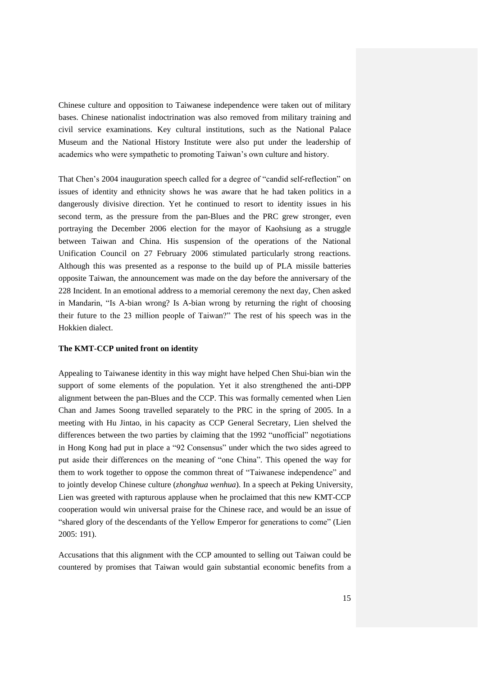Chinese culture and opposition to Taiwanese independence were taken out of military bases. Chinese nationalist indoctrination was also removed from military training and civil service examinations. Key cultural institutions, such as the National Palace Museum and the National History Institute were also put under the leadership of academics who were sympathetic to promoting Taiwan's own culture and history.

That Chen's 2004 inauguration speech called for a degree of "candid self-reflection" on issues of identity and ethnicity shows he was aware that he had taken politics in a dangerously divisive direction. Yet he continued to resort to identity issues in his second term, as the pressure from the pan-Blues and the PRC grew stronger, even portraying the December 2006 election for the mayor of Kaohsiung as a struggle between Taiwan and China. His suspension of the operations of the National Unification Council on 27 February 2006 stimulated particularly strong reactions. Although this was presented as a response to the build up of PLA missile batteries opposite Taiwan, the announcement was made on the day before the anniversary of the 228 Incident. In an emotional address to a memorial ceremony the next day, Chen asked in Mandarin, "Is A-bian wrong? Is A-bian wrong by returning the right of choosing their future to the 23 million people of Taiwan?" The rest of his speech was in the Hokkien dialect.

#### **The KMT-CCP united front on identity**

Appealing to Taiwanese identity in this way might have helped Chen Shui-bian win the support of some elements of the population. Yet it also strengthened the anti-DPP alignment between the pan-Blues and the CCP. This was formally cemented when Lien Chan and James Soong travelled separately to the PRC in the spring of 2005. In a meeting with Hu Jintao, in his capacity as CCP General Secretary, Lien shelved the differences between the two parties by claiming that the 1992 "unofficial" negotiations in Hong Kong had put in place a "92 Consensus" under which the two sides agreed to put aside their differences on the meaning of "one China". This opened the way for them to work together to oppose the common threat of "Taiwanese independence" and to jointly develop Chinese culture (*zhonghua wenhua*). In a speech at Peking University, Lien was greeted with rapturous applause when he proclaimed that this new KMT-CCP cooperation would win universal praise for the Chinese race, and would be an issue of "shared glory of the descendants of the Yellow Emperor for generations to come" (Lien 2005: 191).

Accusations that this alignment with the CCP amounted to selling out Taiwan could be countered by promises that Taiwan would gain substantial economic benefits from a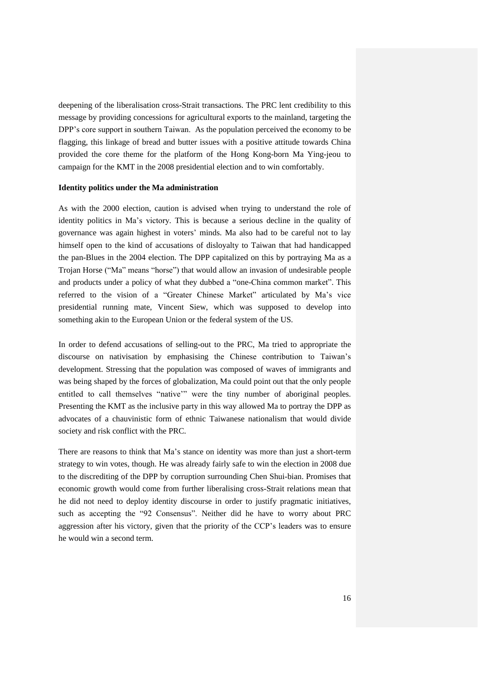deepening of the liberalisation cross-Strait transactions. The PRC lent credibility to this message by providing concessions for agricultural exports to the mainland, targeting the DPP's core support in southern Taiwan. As the population perceived the economy to be flagging, this linkage of bread and butter issues with a positive attitude towards China provided the core theme for the platform of the Hong Kong-born Ma Ying-jeou to campaign for the KMT in the 2008 presidential election and to win comfortably.

#### **Identity politics under the Ma administration**

As with the 2000 election, caution is advised when trying to understand the role of identity politics in Ma's victory. This is because a serious decline in the quality of governance was again highest in voters' minds. Ma also had to be careful not to lay himself open to the kind of accusations of disloyalty to Taiwan that had handicapped the pan-Blues in the 2004 election. The DPP capitalized on this by portraying Ma as a Trojan Horse ("Ma" means "horse") that would allow an invasion of undesirable people and products under a policy of what they dubbed a "one-China common market". This referred to the vision of a "Greater Chinese Market" articulated by Ma's vice presidential running mate, Vincent Siew, which was supposed to develop into something akin to the European Union or the federal system of the US.

In order to defend accusations of selling-out to the PRC, Ma tried to appropriate the discourse on nativisation by emphasising the Chinese contribution to Taiwan's development. Stressing that the population was composed of waves of immigrants and was being shaped by the forces of globalization, Ma could point out that the only people entitled to call themselves "native'" were the tiny number of aboriginal peoples. Presenting the KMT as the inclusive party in this way allowed Ma to portray the DPP as advocates of a chauvinistic form of ethnic Taiwanese nationalism that would divide society and risk conflict with the PRC.

There are reasons to think that Ma's stance on identity was more than just a short-term strategy to win votes, though. He was already fairly safe to win the election in 2008 due to the discrediting of the DPP by corruption surrounding Chen Shui-bian. Promises that economic growth would come from further liberalising cross-Strait relations mean that he did not need to deploy identity discourse in order to justify pragmatic initiatives, such as accepting the "92 Consensus". Neither did he have to worry about PRC aggression after his victory, given that the priority of the CCP's leaders was to ensure he would win a second term.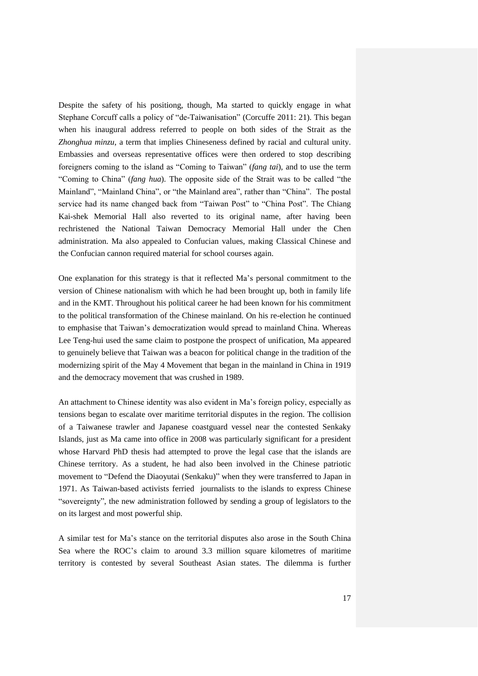Despite the safety of his positiong, though, Ma started to quickly engage in what Stephane Corcuff calls a policy of "de-Taiwanisation" (Corcuffe 2011: 21). This began when his inaugural address referred to people on both sides of the Strait as the *Zhonghua minzu*, a term that implies Chineseness defined by racial and cultural unity. Embassies and overseas representative offices were then ordered to stop describing foreigners coming to the island as "Coming to Taiwan" (*fang tai*), and to use the term "Coming to China" (*fang hua*). The opposite side of the Strait was to be called "the Mainland", "Mainland China", or "the Mainland area", rather than "China". The postal service had its name changed back from "Taiwan Post" to "China Post". The Chiang Kai-shek Memorial Hall also reverted to its original name, after having been rechristened the National Taiwan Democracy Memorial Hall under the Chen administration. Ma also appealed to Confucian values, making Classical Chinese and the Confucian cannon required material for school courses again.

One explanation for this strategy is that it reflected Ma's personal commitment to the version of Chinese nationalism with which he had been brought up, both in family life and in the KMT. Throughout his political career he had been known for his commitment to the political transformation of the Chinese mainland. On his re-election he continued to emphasise that Taiwan's democratization would spread to mainland China. Whereas Lee Teng-hui used the same claim to postpone the prospect of unification, Ma appeared to genuinely believe that Taiwan was a beacon for political change in the tradition of the modernizing spirit of the May 4 Movement that began in the mainland in China in 1919 and the democracy movement that was crushed in 1989.

An attachment to Chinese identity was also evident in Ma's foreign policy, especially as tensions began to escalate over maritime territorial disputes in the region. The collision of a Taiwanese trawler and Japanese coastguard vessel near the contested Senkaky Islands, just as Ma came into office in 2008 was particularly significant for a president whose Harvard PhD thesis had attempted to prove the legal case that the islands are Chinese territory. As a student, he had also been involved in the Chinese patriotic movement to "Defend the Diaoyutai (Senkaku)" when they were transferred to Japan in 1971. As Taiwan-based activists ferried journalists to the islands to express Chinese "sovereignty", the new administration followed by sending a group of legislators to the on its largest and most powerful ship.

A similar test for Ma's stance on the territorial disputes also arose in the South China Sea where the ROC's claim to around 3.3 million square kilometres of maritime territory is contested by several Southeast Asian states. The dilemma is further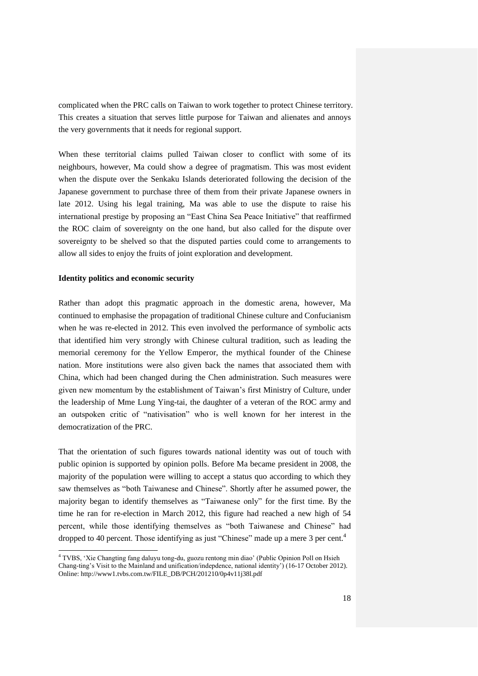complicated when the PRC calls on Taiwan to work together to protect Chinese territory. This creates a situation that serves little purpose for Taiwan and alienates and annoys the very governments that it needs for regional support.

When these territorial claims pulled Taiwan closer to conflict with some of its neighbours, however, Ma could show a degree of pragmatism. This was most evident when the dispute over the Senkaku Islands deteriorated following the decision of the Japanese government to purchase three of them from their private Japanese owners in late 2012. Using his legal training, Ma was able to use the dispute to raise his international prestige by proposing an "East China Sea Peace Initiative" that reaffirmed the ROC claim of sovereignty on the one hand, but also called for the dispute over sovereignty to be shelved so that the disputed parties could come to arrangements to allow all sides to enjoy the fruits of joint exploration and development.

#### **Identity politics and economic security**

Rather than adopt this pragmatic approach in the domestic arena, however, Ma continued to emphasise the propagation of traditional Chinese culture and Confucianism when he was re-elected in 2012. This even involved the performance of symbolic acts that identified him very strongly with Chinese cultural tradition, such as leading the memorial ceremony for the Yellow Emperor, the mythical founder of the Chinese nation. More institutions were also given back the names that associated them with China, which had been changed during the Chen administration. Such measures were given new momentum by the establishment of Taiwan's first Ministry of Culture, under the leadership of Mme Lung Ying-tai, the daughter of a veteran of the ROC army and an outspoken critic of "nativisation" who is well known for her interest in the democratization of the PRC.

That the orientation of such figures towards national identity was out of touch with public opinion is supported by opinion polls. Before Ma became president in 2008, the majority of the population were willing to accept a status quo according to which they saw themselves as "both Taiwanese and Chinese". Shortly after he assumed power, the majority began to identify themselves as "Taiwanese only" for the first time. By the time he ran for re-election in March 2012, this figure had reached a new high of 54 percent, while those identifying themselves as "both Taiwanese and Chinese" had dropped to 40 percent. Those identifying as just "Chinese" made up a mere 3 per cent.<sup>4</sup>

 4 TVBS, 'Xie Changting fang daluyu tong-du, guozu rentong min diao' (Public Opinion Poll on Hsieh Chang-ting's Visit to the Mainland and unification/indepdence, national identity') (16-17 October 2012). Online: http://www1.tvbs.com.tw/FILE\_DB/PCH/201210/0p4v11j38l.pdf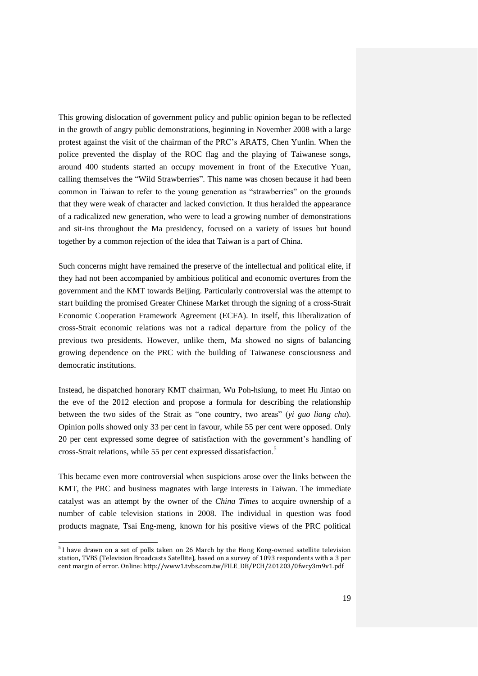This growing dislocation of government policy and public opinion began to be reflected in the growth of angry public demonstrations, beginning in November 2008 with a large protest against the visit of the chairman of the PRC's ARATS, Chen Yunlin. When the police prevented the display of the ROC flag and the playing of Taiwanese songs, around 400 students started an occupy movement in front of the Executive Yuan, calling themselves the "Wild Strawberries". This name was chosen because it had been common in Taiwan to refer to the young generation as "strawberries" on the grounds that they were weak of character and lacked conviction. It thus heralded the appearance of a radicalized new generation, who were to lead a growing number of demonstrations and sit-ins throughout the Ma presidency, focused on a variety of issues but bound together by a common rejection of the idea that Taiwan is a part of China.

Such concerns might have remained the preserve of the intellectual and political elite, if they had not been accompanied by ambitious political and economic overtures from the government and the KMT towards Beijing. Particularly controversial was the attempt to start building the promised Greater Chinese Market through the signing of a cross-Strait Economic Cooperation Framework Agreement (ECFA). In itself, this liberalization of cross-Strait economic relations was not a radical departure from the policy of the previous two presidents. However, unlike them, Ma showed no signs of balancing growing dependence on the PRC with the building of Taiwanese consciousness and democratic institutions.

Instead, he dispatched honorary KMT chairman, Wu Poh-hsiung, to meet Hu Jintao on the eve of the 2012 election and propose a formula for describing the relationship between the two sides of the Strait as "one country, two areas" (*yi guo liang chu*). Opinion polls showed only 33 per cent in favour, while 55 per cent were opposed. Only 20 per cent expressed some degree of satisfaction with the government's handling of cross-Strait relations, while 55 per cent expressed dissatisfaction.<sup>5</sup>

This became even more controversial when suspicions arose over the links between the KMT, the PRC and business magnates with large interests in Taiwan. The immediate catalyst was an attempt by the owner of the *China Times* to acquire ownership of a number of cable television stations in 2008. The individual in question was food products magnate, Tsai Eng-meng, known for his positive views of the PRC political

 $\overline{a}$ 

 $5$ I have drawn on a set of polls taken on 26 March by the Hong Kong-owned satellite television station, TVBS (Television Broadcasts Satellite), based on a survey of 1093 respondents with a 3 per cent margin of error. Online: http://www1.tvbs.com.tw/FILE\_DB/PCH/201203/0fwcv3m9v1.pdf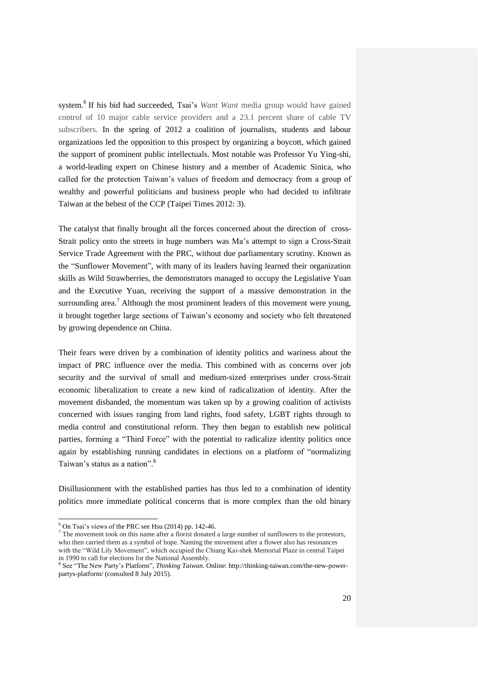system.<sup>6</sup> If his bid had succeeded, Tsai's *Want Want* media group would have gained control of 10 major cable service providers and a 23.1 percent share of cable TV subscribers. In the spring of 2012 a coalition of journalists, students and labour organizations led the opposition to this prospect by organizing a boycott, which gained the support of prominent public intellectuals. Most notable was Professor Yu Ying-shi, a world-leading expert on Chinese history and a member of Academic Sinica, who called for the protection Taiwan's values of freedom and democracy from a group of wealthy and powerful politicians and business people who had decided to infiltrate Taiwan at the behest of the CCP (Taipei Times 2012: 3).

The catalyst that finally brought all the forces concerned about the direction of cross-Strait policy onto the streets in huge numbers was Ma's attempt to sign a Cross-Strait Service Trade Agreement with the PRC, without due parliamentary scrutiny. Known as the "Sunflower Movement", with many of its leaders having learned their organization skills as Wild Strawberries, the demonstrators managed to occupy the Legislative Yuan and the Executive Yuan, receiving the support of a massive demonstration in the surrounding area.<sup>7</sup> Although the most prominent leaders of this movement were young, it brought together large sections of Taiwan's economy and society who felt threatened by growing dependence on China.

Their fears were driven by a combination of identity politics and wariness about the impact of PRC influence over the media. This combined with as concerns over job security and the survival of small and medium-sized enterprises under cross-Strait economic liberalization to create a new kind of radicalization of identity. After the movement disbanded, the momentum was taken up by a growing coalition of activists concerned with issues ranging from land rights, food safety, LGBT rights through to media control and constitutional reform. They then began to establish new political parties, forming a "Third Force" with the potential to radicalize identity politics once again by establishing running candidates in elections on a platform of "normalizing Taiwan's status as a nation".<sup>8</sup>

Disillusionment with the established parties has thus led to a combination of identity politics more immediate political concerns that is more complex than the old binary

l

 $6$  On Tsai's views of the PRC see Hsu (2014) pp. 142-46.

<sup>7</sup> The movement took on this name after a florist donated a large number of sunflowers to the protestors, who then carried them as a symbol of hope. Naming the movement after a flower also has resonances with the "Wild Lily Movement", which occupied the Chiang Kai-shek Memorial Plaze in central Taipei in 1990 to call for elections for the National Assembly.

<sup>8</sup> See "The New Party's Platform", *Thinking Taiwan*. Online: http://thinking-taiwan.com/the-new-powerpartys-platform/ (consulted 8 July 2015).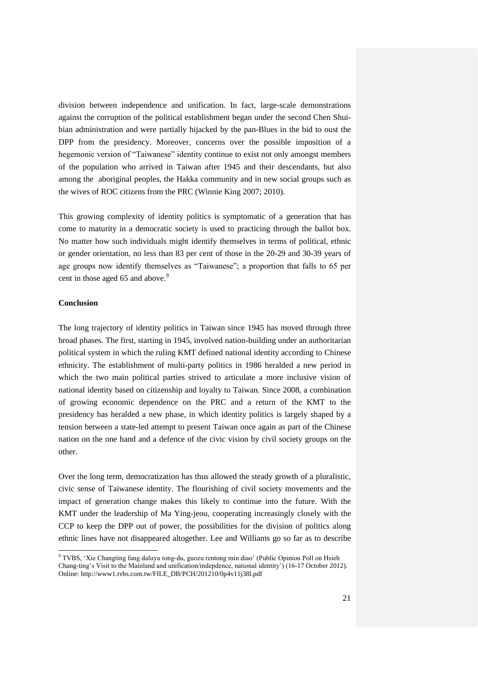division between independence and unification. In fact, large-scale demonstrations against the corruption of the political establishment began under the second Chen Shuibian administration and were partially hijacked by the pan-Blues in the bid to oust the DPP from the presidency. Moreover, concerns over the possible imposition of a hegemonic version of "Taiwanese" identity continue to exist not only amongst members of the population who arrived in Taiwan after 1945 and their descendants, but also among the aboriginal peoples, the Hakka community and in new social groups such as the wives of ROC citizens from the PRC (Winnie King 2007; 2010).

This growing complexity of identity politics is symptomatic of a generation that has come to maturity in a democratic society is used to practicing through the ballot box. No matter how such individuals might identify themselves in terms of political, ethnic or gender orientation, no less than 83 per cent of those in the 20-29 and 30-39 years of age groups now identify themselves as "Taiwanese"; a proportion that falls to 65 per cent in those aged 65 and above.<sup>9</sup>

#### **Conclusion**

l

The long trajectory of identity politics in Taiwan since 1945 has moved through three broad phases. The first, starting in 1945, involved nation-building under an authoritarian political system in which the ruling KMT defined national identity according to Chinese ethnicity. The establishment of multi-party politics in 1986 heralded a new period in which the two main political parties strived to articulate a more inclusive vision of national identity based on citizenship and loyalty to Taiwan. Since 2008, a combination of growing economic dependence on the PRC and a return of the KMT to the presidency has heralded a new phase, in which identity politics is largely shaped by a tension between a state-led attempt to present Taiwan once again as part of the Chinese nation on the one hand and a defence of the civic vision by civil society groups on the other.

Over the long term, democratization has thus allowed the steady growth of a pluralistic, civic sense of Taiwanese identity. The flourishing of civil society movements and the impact of generation change makes this likely to continue into the future. With the KMT under the leadership of Ma Ying-jeou, cooperating increasingly closely with the CCP to keep the DPP out of power, the possibilities for the division of politics along ethnic lines have not disappeared altogether. Lee and Williams go so far as to describe

<sup>&</sup>lt;sup>9</sup> TVBS, 'Xie Changting fang daluyu tong-du, guozu rentong min diao' (Public Opinion Poll on Hsieh Chang-ting's Visit to the Mainland and unification/indepdence, national identity') (16-17 October 2012). Online: http://www1.tvbs.com.tw/FILE\_DB/PCH/201210/0p4v11j38l.pdf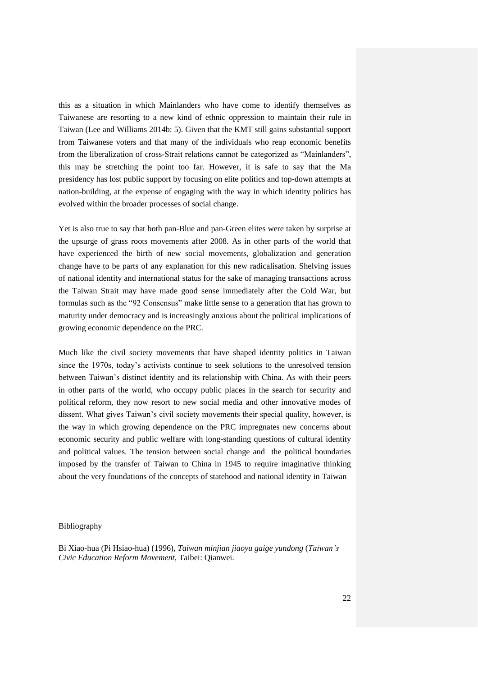this as a situation in which Mainlanders who have come to identify themselves as Taiwanese are resorting to a new kind of ethnic oppression to maintain their rule in Taiwan (Lee and Williams 2014b: 5). Given that the KMT still gains substantial support from Taiwanese voters and that many of the individuals who reap economic benefits from the liberalization of cross-Strait relations cannot be categorized as "Mainlanders", this may be stretching the point too far. However, it is safe to say that the Ma presidency has lost public support by focusing on elite politics and top-down attempts at nation-building, at the expense of engaging with the way in which identity politics has evolved within the broader processes of social change.

Yet is also true to say that both pan-Blue and pan-Green elites were taken by surprise at the upsurge of grass roots movements after 2008. As in other parts of the world that have experienced the birth of new social movements, globalization and generation change have to be parts of any explanation for this new radicalisation. Shelving issues of national identity and international status for the sake of managing transactions across the Taiwan Strait may have made good sense immediately after the Cold War, but formulas such as the "92 Consensus" make little sense to a generation that has grown to maturity under democracy and is increasingly anxious about the political implications of growing economic dependence on the PRC.

Much like the civil society movements that have shaped identity politics in Taiwan since the 1970s, today's activists continue to seek solutions to the unresolved tension between Taiwan's distinct identity and its relationship with China. As with their peers in other parts of the world, who occupy public places in the search for security and political reform, they now resort to new social media and other innovative modes of dissent. What gives Taiwan's civil society movements their special quality, however, is the way in which growing dependence on the PRC impregnates new concerns about economic security and public welfare with long-standing questions of cultural identity and political values. The tension between social change and the political boundaries imposed by the transfer of Taiwan to China in 1945 to require imaginative thinking about the very foundations of the concepts of statehood and national identity in Taiwan

#### Bibliography

Bi Xiao-hua (Pi Hsiao-hua) (1996), *Taiwan minjian jiaoyu gaige yundong* (*Taiwan's Civic Education Reform Movement*, Taibei: Qianwei.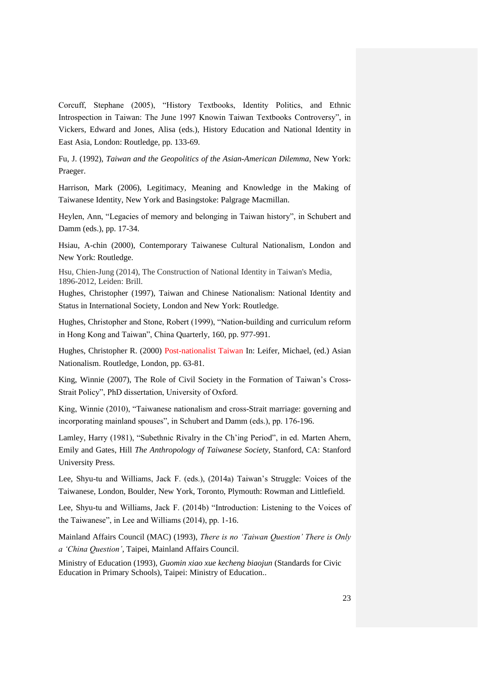Corcuff, Stephane (2005), "History Textbooks, Identity Politics, and Ethnic Introspection in Taiwan: The June 1997 Knowin Taiwan Textbooks Controversy", in Vickers, Edward and Jones, Alisa (eds.), History Education and National Identity in East Asia, London: Routledge, pp. 133-69.

Fu, J. (1992), *Taiwan and the Geopolitics of the Asian-American Dilemma*, New York: Praeger.

Harrison, Mark (2006), Legitimacy, Meaning and Knowledge in the Making of Taiwanese Identity, New York and Basingstoke: Palgrage Macmillan.

Heylen, Ann, "Legacies of memory and belonging in Taiwan history", in Schubert and Damm (eds.), pp. 17-34.

Hsiau, A-chin (2000), Contemporary Taiwanese Cultural Nationalism, London and New York: Routledge.

Hsu, Chien-Jung (2014), The Construction of National Identity in Taiwan's Media, 1896-2012, Leiden: Brill.

Hughes, Christopher (1997), Taiwan and Chinese Nationalism: National Identity and Status in International Society, London and New York: Routledge.

Hughes, Christopher and Stone, Robert (1999), "Nation-building and curriculum reform in Hong Kong and Taiwan", China Quarterly, 160, pp. 977-991.

Hughes, Christopher R. (2000) [Post-nationalist Taiwan](http://eprints.lse.ac.uk/11426/) In: Leifer, Michael, (ed.) Asian Nationalism. Routledge, London, pp. 63-81.

King, Winnie (2007), The Role of Civil Society in the Formation of Taiwan's Cross-Strait Policy", PhD dissertation, University of Oxford.

King, Winnie (2010), "Taiwanese nationalism and cross-Strait marriage: governing and incorporating mainland spouses", in Schubert and Damm (eds.), pp. 176-196.

Lamley, Harry (1981), "Subethnic Rivalry in the Ch'ing Period", in ed. Marten Ahern, Emily and Gates, Hill *The Anthropology of Taiwanese Society*, Stanford, CA: Stanford University Press.

Lee, Shyu-tu and Williams, Jack F. (eds.), (2014a) Taiwan's Struggle: Voices of the Taiwanese, London, Boulder, New York, Toronto, Plymouth: Rowman and Littlefield.

Lee, Shyu-tu and Williams, Jack F. (2014b) "Introduction: Listening to the Voices of the Taiwanese", in Lee and Williams (2014), pp. 1-16.

Mainland Affairs Council (MAC) (1993), *There is no 'Taiwan Question' There is Only a 'China Question'*, Taipei, Mainland Affairs Council.

Ministry of Education (1993), *Guomin xiao xue kecheng biaojun* (Standards for Civic Education in Primary Schools), Taipei: Ministry of Education..